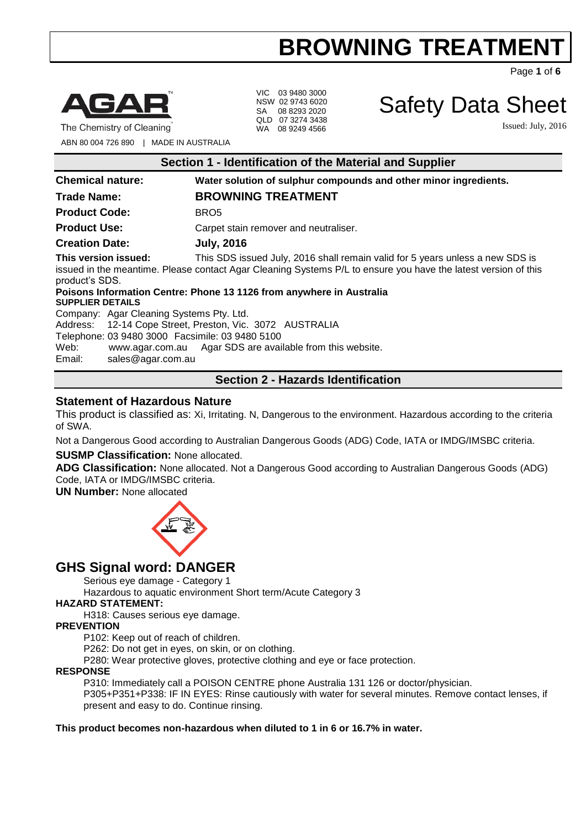Page **1** of **6**



VIC 03 9480 3000 NSW 02 9743 6020 SA 08 8293 2020 QLD 07 3274 3438 WA 08 9249 4566

Safety Data Sheet

Issued: July, 2016

The Chemistry of Cleaning

ABN 80 004 726 890 | MADE IN AUSTRALIA

| Section 1 - Identification of the Material and Supplier           |                                                                                                                                                                                                 |  |  |  |
|-------------------------------------------------------------------|-------------------------------------------------------------------------------------------------------------------------------------------------------------------------------------------------|--|--|--|
| <b>Chemical nature:</b>                                           | Water solution of sulphur compounds and other minor ingredients.                                                                                                                                |  |  |  |
| <b>Trade Name:</b>                                                | <b>BROWNING TREATMENT</b>                                                                                                                                                                       |  |  |  |
| <b>Product Code:</b>                                              | BRO <sub>5</sub>                                                                                                                                                                                |  |  |  |
| <b>Product Use:</b>                                               | Carpet stain remover and neutraliser.                                                                                                                                                           |  |  |  |
| <b>Creation Date:</b>                                             | <b>July, 2016</b>                                                                                                                                                                               |  |  |  |
| This version issued:<br>product's SDS.                            | This SDS issued July, 2016 shall remain valid for 5 years unless a new SDS is<br>issued in the meantime. Please contact Agar Cleaning Systems P/L to ensure you have the latest version of this |  |  |  |
| <b>SUPPLIER DETAILS</b>                                           | Poisons Information Centre: Phone 13 1126 from anywhere in Australia                                                                                                                            |  |  |  |
| Company: Agar Cleaning Systems Pty. Ltd.                          |                                                                                                                                                                                                 |  |  |  |
| Address: 12-14 Cope Street, Preston, Vic. 3072 AUSTRALIA          |                                                                                                                                                                                                 |  |  |  |
| Telephone: 03 9480 3000 Facsimile: 03 9480 5100                   |                                                                                                                                                                                                 |  |  |  |
| Web:<br>www.agar.com.au Agar SDS are available from this website. |                                                                                                                                                                                                 |  |  |  |
|                                                                   |                                                                                                                                                                                                 |  |  |  |

Email: [sales@agar.com.au](mailto:sales@agar.com.au)

## **Section 2 - Hazards Identification**

### **Statement of Hazardous Nature**

This product is classified as: Xi, Irritating. N, Dangerous to the environment. Hazardous according to the criteria of SWA.

Not a Dangerous Good according to Australian Dangerous Goods (ADG) Code, IATA or IMDG/IMSBC criteria.

#### **SUSMP Classification:** None allocated.

**ADG Classification:** None allocated. Not a Dangerous Good according to Australian Dangerous Goods (ADG) Code, IATA or IMDG/IMSBC criteria.

**UN Number:** None allocated



## **GHS Signal word: DANGER**

Serious eye damage - Category 1

Hazardous to aquatic environment Short term/Acute Category 3

#### **HAZARD STATEMENT:**

H318: Causes serious eye damage.

#### **PREVENTION**

P102: Keep out of reach of children.

P262: Do not get in eyes, on skin, or on clothing.

P280: Wear protective gloves, protective clothing and eye or face protection.

#### **RESPONSE**

P310: Immediately call a POISON CENTRE phone Australia 131 126 or doctor/physician. P305+P351+P338: IF IN EYES: Rinse cautiously with water for several minutes. Remove contact lenses, if

present and easy to do. Continue rinsing.

#### **This product becomes non-hazardous when diluted to 1 in 6 or 16.7% in water.**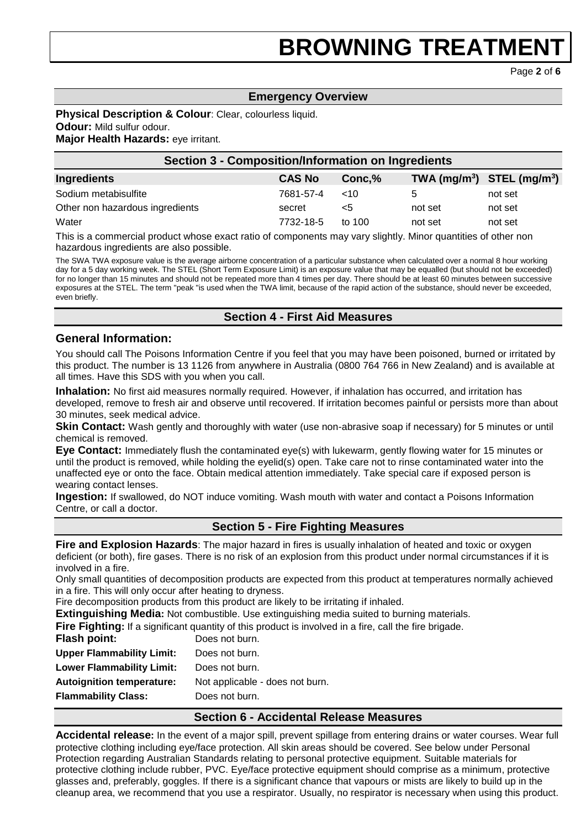Page **2** of **6**

## **Emergency Overview**

## **Physical Description & Colour**: Clear, colourless liquid.

**Odour:** Mild sulfur odour.

### **Major Health Hazards:** eye irritant.

| <b>Section 3 - Composition/Information on Ingredients</b> |               |          |                                |         |
|-----------------------------------------------------------|---------------|----------|--------------------------------|---------|
| Ingredients                                               | <b>CAS No</b> | Conc.%   | TWA $(mg/m^3)$ STEL $(mg/m^3)$ |         |
| Sodium metabisulfite                                      | 7681-57-4     | $~<$ 10  |                                | not set |
| Other non hazardous ingredients                           | secret        | <5       | not set                        | not set |
| Water                                                     | 7732-18-5     | to $100$ | not set                        | not set |

This is a commercial product whose exact ratio of components may vary slightly. Minor quantities of other non hazardous ingredients are also possible.

The SWA TWA exposure value is the average airborne concentration of a particular substance when calculated over a normal 8 hour working day for a 5 day working week. The STEL (Short Term Exposure Limit) is an exposure value that may be equalled (but should not be exceeded) for no longer than 15 minutes and should not be repeated more than 4 times per day. There should be at least 60 minutes between successive exposures at the STEL. The term "peak "is used when the TWA limit, because of the rapid action of the substance, should never be exceeded, even briefly.

## **Section 4 - First Aid Measures**

#### **General Information:**

You should call The Poisons Information Centre if you feel that you may have been poisoned, burned or irritated by this product. The number is 13 1126 from anywhere in Australia (0800 764 766 in New Zealand) and is available at all times. Have this SDS with you when you call.

**Inhalation:** No first aid measures normally required. However, if inhalation has occurred, and irritation has developed, remove to fresh air and observe until recovered. If irritation becomes painful or persists more than about 30 minutes, seek medical advice.

**Skin Contact:** Wash gently and thoroughly with water (use non-abrasive soap if necessary) for 5 minutes or until chemical is removed.

**Eye Contact:** Immediately flush the contaminated eye(s) with lukewarm, gently flowing water for 15 minutes or until the product is removed, while holding the eyelid(s) open. Take care not to rinse contaminated water into the unaffected eye or onto the face. Obtain medical attention immediately. Take special care if exposed person is wearing contact lenses.

**Ingestion:** If swallowed, do NOT induce vomiting. Wash mouth with water and contact a Poisons Information Centre, or call a doctor.

## **Section 5 - Fire Fighting Measures**

**Fire and Explosion Hazards**: The major hazard in fires is usually inhalation of heated and toxic or oxygen deficient (or both), fire gases. There is no risk of an explosion from this product under normal circumstances if it is involved in a fire.

Only small quantities of decomposition products are expected from this product at temperatures normally achieved in a fire. This will only occur after heating to dryness.

Fire decomposition products from this product are likely to be irritating if inhaled.

**Extinguishing Media:** Not combustible. Use extinguishing media suited to burning materials.

**Fire Fighting:** If a significant quantity of this product is involved in a fire, call the fire brigade.

| <b>Flash point:</b>              | Does not burn.                  |
|----------------------------------|---------------------------------|
| <b>Upper Flammability Limit:</b> | Does not burn.                  |
| <b>Lower Flammability Limit:</b> | Does not burn.                  |
| <b>Autoignition temperature:</b> | Not applicable - does not burn. |
| <b>Flammability Class:</b>       | Does not burn.                  |

## **Section 6 - Accidental Release Measures**

**Accidental release:** In the event of a major spill, prevent spillage from entering drains or water courses. Wear full protective clothing including eye/face protection. All skin areas should be covered. See below under Personal Protection regarding Australian Standards relating to personal protective equipment. Suitable materials for protective clothing include rubber, PVC. Eye/face protective equipment should comprise as a minimum, protective glasses and, preferably, goggles. If there is a significant chance that vapours or mists are likely to build up in the cleanup area, we recommend that you use a respirator. Usually, no respirator is necessary when using this product.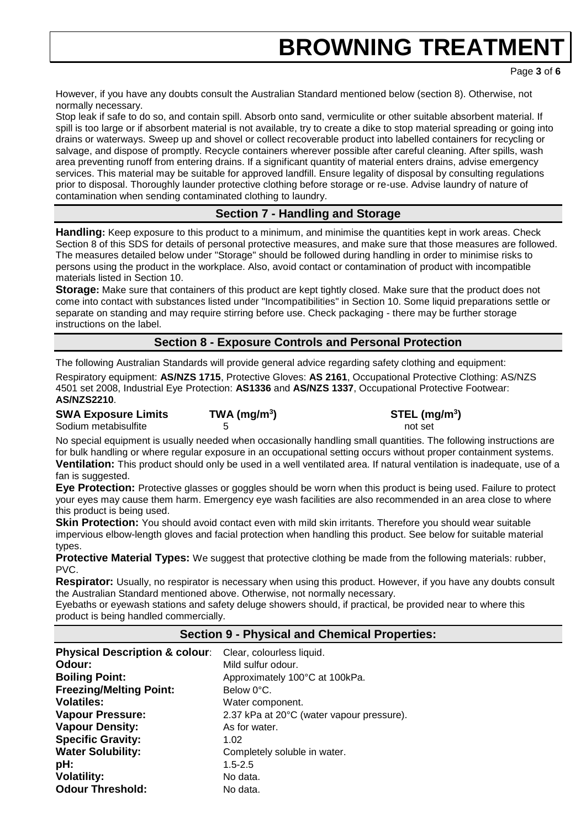Page **3** of **6**

However, if you have any doubts consult the Australian Standard mentioned below (section 8). Otherwise, not normally necessary.

Stop leak if safe to do so, and contain spill. Absorb onto sand, vermiculite or other suitable absorbent material. If spill is too large or if absorbent material is not available, try to create a dike to stop material spreading or going into drains or waterways. Sweep up and shovel or collect recoverable product into labelled containers for recycling or salvage, and dispose of promptly. Recycle containers wherever possible after careful cleaning. After spills, wash area preventing runoff from entering drains. If a significant quantity of material enters drains, advise emergency services. This material may be suitable for approved landfill. Ensure legality of disposal by consulting regulations prior to disposal. Thoroughly launder protective clothing before storage or re-use. Advise laundry of nature of contamination when sending contaminated clothing to laundry.

## **Section 7 - Handling and Storage**

**Handling:** Keep exposure to this product to a minimum, and minimise the quantities kept in work areas. Check Section 8 of this SDS for details of personal protective measures, and make sure that those measures are followed. The measures detailed below under "Storage" should be followed during handling in order to minimise risks to persons using the product in the workplace. Also, avoid contact or contamination of product with incompatible materials listed in Section 10.

**Storage:** Make sure that containers of this product are kept tightly closed. Make sure that the product does not come into contact with substances listed under "Incompatibilities" in Section 10. Some liquid preparations settle or separate on standing and may require stirring before use. Check packaging - there may be further storage instructions on the label.

## **Section 8 - Exposure Controls and Personal Protection**

The following Australian Standards will provide general advice regarding safety clothing and equipment:

Respiratory equipment: **AS/NZS 1715**, Protective Gloves: **AS 2161**, Occupational Protective Clothing: AS/NZS 4501 set 2008, Industrial Eye Protection: **AS1336** and **AS/NZS 1337**, Occupational Protective Footwear: **AS/NZS2210**.

**SWA Exposure Limits TWA (mg/m<sup>3</sup>**

**) STEL (mg/m<sup>3</sup> )** Sodium metabisulfite and the set of the set of the set of the set of the set of the set of the set of the set of the set of the set of the set of the set of the set of the set of the set of the set of the set of the set of

No special equipment is usually needed when occasionally handling small quantities. The following instructions are for bulk handling or where regular exposure in an occupational setting occurs without proper containment systems. **Ventilation:** This product should only be used in a well ventilated area. If natural ventilation is inadequate, use of a fan is suggested.

**Eye Protection:** Protective glasses or goggles should be worn when this product is being used. Failure to protect your eyes may cause them harm. Emergency eye wash facilities are also recommended in an area close to where this product is being used.

**Skin Protection:** You should avoid contact even with mild skin irritants. Therefore you should wear suitable impervious elbow-length gloves and facial protection when handling this product. See below for suitable material types.

**Protective Material Types:** We suggest that protective clothing be made from the following materials: rubber, PVC.

**Respirator:** Usually, no respirator is necessary when using this product. However, if you have any doubts consult the Australian Standard mentioned above. Otherwise, not normally necessary.

Eyebaths or eyewash stations and safety deluge showers should, if practical, be provided near to where this product is being handled commercially.

## **Section 9 - Physical and Chemical Properties:**

| <b>Physical Description &amp; colour:</b> | Clear, colourless liquid.                 |
|-------------------------------------------|-------------------------------------------|
| Odour:                                    | Mild sulfur odour.                        |
| <b>Boiling Point:</b>                     | Approximately 100°C at 100kPa.            |
| <b>Freezing/Melting Point:</b>            | Below 0°C.                                |
| <b>Volatiles:</b>                         | Water component.                          |
| <b>Vapour Pressure:</b>                   | 2.37 kPa at 20°C (water vapour pressure). |
| <b>Vapour Density:</b>                    | As for water.                             |
| <b>Specific Gravity:</b>                  | 1.02                                      |
| <b>Water Solubility:</b>                  | Completely soluble in water.              |
| pH:                                       | $1.5 - 2.5$                               |
| <b>Volatility:</b>                        | No data.                                  |
| <b>Odour Threshold:</b>                   | No data.                                  |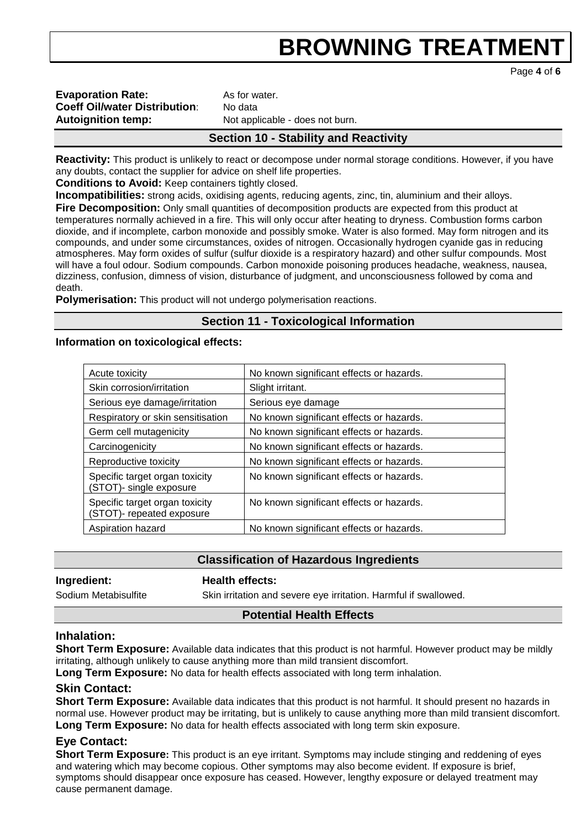Page **4** of **6**

| <b>Evaporation Rate:</b>             |
|--------------------------------------|
| <b>Coeff Oil/water Distribution:</b> |
| <b>Autoignition temp:</b>            |

**Evaporation Rate:** As for water. **No data** Not applicable - does not burn.

## **Section 10 - Stability and Reactivity**

**Reactivity:** This product is unlikely to react or decompose under normal storage conditions. However, if you have any doubts, contact the supplier for advice on shelf life properties.

**Conditions to Avoid:** Keep containers tightly closed.

**Incompatibilities:** strong acids, oxidising agents, reducing agents, zinc, tin, aluminium and their alloys. **Fire Decomposition:** Only small quantities of decomposition products are expected from this product at temperatures normally achieved in a fire. This will only occur after heating to dryness. Combustion forms carbon dioxide, and if incomplete, carbon monoxide and possibly smoke. Water is also formed. May form nitrogen and its compounds, and under some circumstances, oxides of nitrogen. Occasionally hydrogen cyanide gas in reducing atmospheres. May form oxides of sulfur (sulfur dioxide is a respiratory hazard) and other sulfur compounds. Most will have a foul odour. Sodium compounds. Carbon monoxide poisoning produces headache, weakness, nausea, dizziness, confusion, dimness of vision, disturbance of judgment, and unconsciousness followed by coma and death.

**Polymerisation:** This product will not undergo polymerisation reactions.

## **Section 11 - Toxicological Information**

#### **Information on toxicological effects:**

| Acute toxicity                                              | No known significant effects or hazards. |
|-------------------------------------------------------------|------------------------------------------|
| Skin corrosion/irritation                                   | Slight irritant.                         |
| Serious eye damage/irritation                               | Serious eye damage                       |
| Respiratory or skin sensitisation                           | No known significant effects or hazards. |
| Germ cell mutagenicity                                      | No known significant effects or hazards. |
| Carcinogenicity                                             | No known significant effects or hazards. |
| Reproductive toxicity                                       | No known significant effects or hazards. |
| Specific target organ toxicity<br>(STOT)- single exposure   | No known significant effects or hazards. |
| Specific target organ toxicity<br>(STOT)- repeated exposure | No known significant effects or hazards. |
| Aspiration hazard                                           | No known significant effects or hazards. |

## **Classification of Hazardous Ingredients**

**Ingredient: Health effects:** 

Sodium Metabisulfite Skin irritation and severe eye irritation. Harmful if swallowed.

## **Potential Health Effects**

## **Inhalation:**

**Short Term Exposure:** Available data indicates that this product is not harmful. However product may be mildly irritating, although unlikely to cause anything more than mild transient discomfort.

**Long Term Exposure:** No data for health effects associated with long term inhalation.

## **Skin Contact:**

**Short Term Exposure:** Available data indicates that this product is not harmful. It should present no hazards in normal use. However product may be irritating, but is unlikely to cause anything more than mild transient discomfort. **Long Term Exposure:** No data for health effects associated with long term skin exposure.

## **Eye Contact:**

**Short Term Exposure:** This product is an eye irritant. Symptoms may include stinging and reddening of eyes and watering which may become copious. Other symptoms may also become evident. If exposure is brief, symptoms should disappear once exposure has ceased. However, lengthy exposure or delayed treatment may cause permanent damage.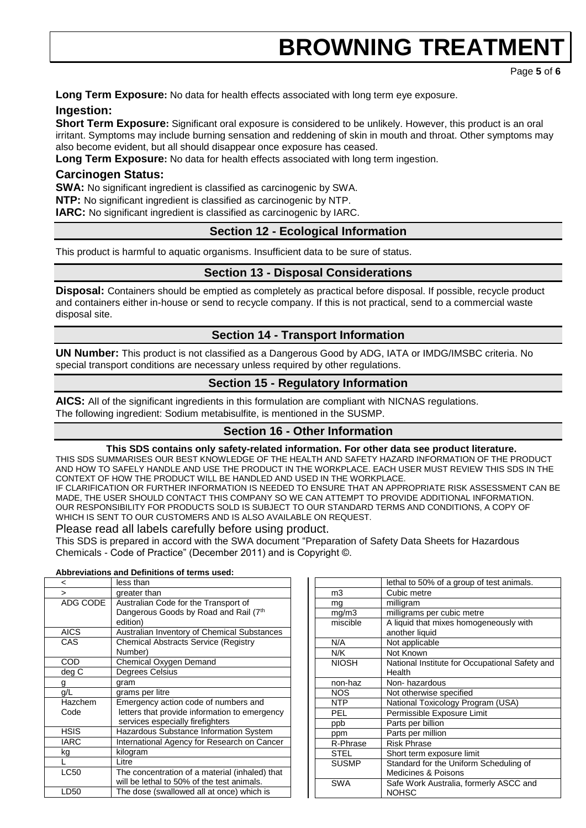Page **5** of **6**

**Long Term Exposure:** No data for health effects associated with long term eye exposure.

#### **Ingestion:**

**Short Term Exposure:** Significant oral exposure is considered to be unlikely. However, this product is an oral irritant. Symptoms may include burning sensation and reddening of skin in mouth and throat. Other symptoms may also become evident, but all should disappear once exposure has ceased.

**Long Term Exposure:** No data for health effects associated with long term ingestion.

### **Carcinogen Status:**

**SWA:** No significant ingredient is classified as carcinogenic by SWA.

**NTP:** No significant ingredient is classified as carcinogenic by NTP.

**IARC:** No significant ingredient is classified as carcinogenic by IARC.

## **Section 12 - Ecological Information**

This product is harmful to aquatic organisms. Insufficient data to be sure of status.

### **Section 13 - Disposal Considerations**

**Disposal:** Containers should be emptied as completely as practical before disposal. If possible, recycle product and containers either in-house or send to recycle company. If this is not practical, send to a commercial waste disposal site.

## **Section 14 - Transport Information**

**UN Number:** This product is not classified as a Dangerous Good by ADG, IATA or IMDG/IMSBC criteria. No special transport conditions are necessary unless required by other regulations.

## **Section 15 - Regulatory Information**

**AICS:** All of the significant ingredients in this formulation are compliant with NICNAS regulations. The following ingredient: Sodium metabisulfite, is mentioned in the SUSMP.

## **Section 16 - Other Information**

#### **This SDS contains only safety-related information. For other data see product literature.**

THIS SDS SUMMARISES OUR BEST KNOWLEDGE OF THE HEALTH AND SAFETY HAZARD INFORMATION OF THE PRODUCT AND HOW TO SAFELY HANDLE AND USE THE PRODUCT IN THE WORKPLACE. EACH USER MUST REVIEW THIS SDS IN THE CONTEXT OF HOW THE PRODUCT WILL BE HANDLED AND USED IN THE WORKPLACE. IF CLARIFICATION OR FURTHER INFORMATION IS NEEDED TO ENSURE THAT AN APPROPRIATE RISK ASSESSMENT CAN BE MADE, THE USER SHOULD CONTACT THIS COMPANY SO WE CAN ATTEMPT TO PROVIDE ADDITIONAL INFORMATION. OUR RESPONSIBILITY FOR PRODUCTS SOLD IS SUBJECT TO OUR STANDARD TERMS AND CONDITIONS, A COPY OF WHICH IS SENT TO OUR CUSTOMERS AND IS ALSO AVAILABLE ON REQUEST.

#### Please read all labels carefully before using product.

This SDS is prepared in accord with the SWA document "Preparation of Safety Data Sheets for Hazardous Chemicals - Code of Practice" (December 2011) and is Copyright ©.

#### **Abbreviations and Definitions of terms used:**

| <           | less than                                      |  |  |
|-------------|------------------------------------------------|--|--|
| $\geq$      | greater than                                   |  |  |
| ADG CODE    | Australian Code for the Transport of           |  |  |
|             | Dangerous Goods by Road and Rail (7th          |  |  |
|             | edition)                                       |  |  |
| <b>AICS</b> | Australian Inventory of Chemical Substances    |  |  |
| CAS         | <b>Chemical Abstracts Service (Registry</b>    |  |  |
|             | Number)                                        |  |  |
| COD         | Chemical Oxygen Demand                         |  |  |
| deg C       | <b>Degrees Celsius</b>                         |  |  |
| g           | gram                                           |  |  |
| g/L         | grams per litre                                |  |  |
| Hazchem     | Emergency action code of numbers and           |  |  |
| Code        | letters that provide information to emergency  |  |  |
|             | services especially firefighters               |  |  |
| <b>HSIS</b> | Hazardous Substance Information System         |  |  |
|             |                                                |  |  |
| <b>IARC</b> | International Agency for Research on Cancer    |  |  |
| kg          | kilogram                                       |  |  |
|             | I itre                                         |  |  |
| <b>LC50</b> | The concentration of a material (inhaled) that |  |  |
|             | will be lethal to 50% of the test animals.     |  |  |

|                     | lethal to 50% of a group of test animals.      |  |  |
|---------------------|------------------------------------------------|--|--|
| m3                  | Cubic metre                                    |  |  |
| mg                  | milligram                                      |  |  |
| mg/m3               | milligrams per cubic metre                     |  |  |
| miscible            | A liquid that mixes homogeneously with         |  |  |
|                     | another liquid                                 |  |  |
| N/A                 | Not applicable                                 |  |  |
| N/K                 | Not Known                                      |  |  |
| <b>NIOSH</b>        | National Institute for Occupational Safety and |  |  |
|                     | Health                                         |  |  |
| non-haz             | Non-hazardous                                  |  |  |
| <b>NOS</b>          | Not otherwise specified                        |  |  |
| <b>NTP</b>          | National Toxicology Program (USA)              |  |  |
| <b>PEL</b>          | Permissible Exposure Limit                     |  |  |
| ppb                 | Parts per billion                              |  |  |
| ppm                 | Parts per million                              |  |  |
| R-Phrase            | <b>Risk Phrase</b>                             |  |  |
| <b>STEL</b>         | Short term exposure limit                      |  |  |
| <b>SUSMP</b>        | Standard for the Uniform Scheduling of         |  |  |
| Medicines & Poisons |                                                |  |  |
| SWA                 | Safe Work Australia, formerly ASCC and         |  |  |
|                     | <b>NOHSC</b>                                   |  |  |